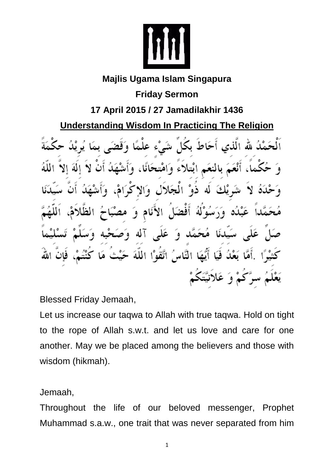

## **Majlis Ugama Islam Singapura**

**Friday Sermon**

**17 April 2015 / 27 Jamadilakhir 1436**

**Understanding Wisdom In Practicing The Religion**

أحَاط بكل شَيْء عا لله الذي آنتلاء وأفنا ئكَ ذه الحَلال له ه ا أفض و َ ، نام N۱ dĪ ć ۹ النَّاسُ اتَّقَوْا اللة كَمْ وَ عَلاَنْ

Blessed Friday Jemaah,

Let us increase our taqwa to Allah with true taqwa. Hold on tight to the rope of Allah s.w.t. and let us love and care for one another. May we be placed among the believers and those with wisdom (hikmah).

## Jemaah,

Throughout the life of our beloved messenger, Prophet Muhammad s.a.w., one trait that was never separated from him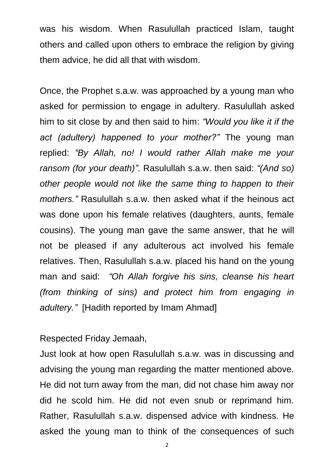was his wisdom. When Rasulullah practiced Islam, taught others and called upon others to embrace the religion by giving them advice, he did all that with wisdom.

Once, the Prophet s.a.w. was approached by a young man who asked for permission to engage in adultery. Rasulullah asked him to sit close by and then said to him: *"Would you like it if the act (adultery) happened to your mother?"* The young man replied: *"By Allah, no! I would rather Allah make me your ransom (for your death)"*. Rasulullah s.a.w. then said: *"(And so) other people would not like the same thing to happen to their mothers."* Rasulullah s.a.w. then asked what if the heinous act was done upon his female relatives (daughters, aunts, female cousins). The young man gave the same answer, that he will not be pleased if any adulterous act involved his female relatives. Then, Rasulullah s.a.w. placed his hand on the young man and said: *"Oh Allah forgive his sins, cleanse his heart (from thinking of sins) and protect him from engaging in adultery."* [Hadith reported by Imam Ahmad]

Respected Friday Jemaah,

Just look at how open Rasulullah s.a.w. was in discussing and advising the young man regarding the matter mentioned above. He did not turn away from the man, did not chase him away nor did he scold him. He did not even snub or reprimand him. Rather, Rasulullah s.a.w. dispensed advice with kindness. He asked the young man to think of the consequences of such

2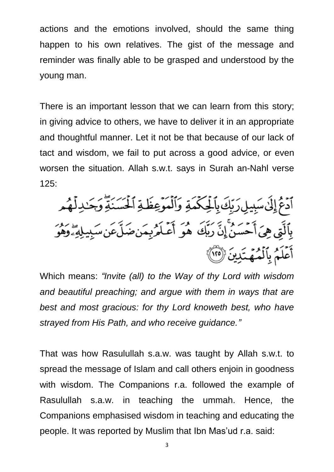actions and the emotions involved, should the same thing happen to his own relatives. The gist of the message and reminder was finally able to be grasped and understood by the young man.

There is an important lesson that we can learn from this story; in giving advice to others, we have to deliver it in an appropriate and thoughtful manner. Let it not be that because of our lack of tact and wisdom, we fail to put across a good advice, or even worsen the situation. Allah s.w.t. says in Surah an-Nahl verse 125:

ٱدۡعُۚ إِلَىٰٓ سَبِيلِ رَبِّكَ بِٱلۡلِكۡمَةِ وَٱلۡمَوۡعِظَةِ ٱلۡحَسَنَةِۗ وَجَـٰدِلۡهُم<br>بِٱلَّتِى هِىَ أَحۡسَنُ إِنَّ رَبِّكَ ۚ هُوَ أَعۡلَمُ بِمَنضَلَّصَ سَبِيلِهِۦۗ وَهُوَ أَعَلَمُ بِٱلْمُهَتَدِينَ (١٢٥)

Which means: *"Invite (all) to the Way of thy Lord with wisdom and beautiful preaching; and argue with them in ways that are best and most gracious: for thy Lord knoweth best, who have strayed from His Path, and who receive guidance."*

That was how Rasulullah s.a.w. was taught by Allah s.w.t. to spread the message of Islam and call others enjoin in goodness with wisdom. The Companions r.a. followed the example of Rasulullah s.a.w. in teaching the ummah. Hence, the Companions emphasised wisdom in teaching and educating the people. It was reported by Muslim that Ibn Mas'ud r.a. said: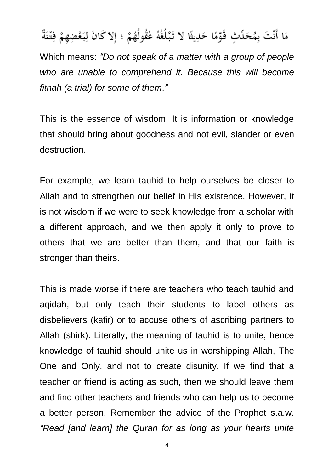## مَا أَنَّتَ بِمُحَدِّثٍ قَوْمًا حَدِيثًا لا تَبْلُغُهُ عُقُولُهُمْ ؛ إلا كَانَ لِبَعْضِهِمْ فِتْنَةٌ

Which means: *"Do not speak of a matter with a group of people who are unable to comprehend it. Because this will become fitnah (a trial) for some of them*.*"*

This is the essence of wisdom. It is information or knowledge that should bring about goodness and not evil, slander or even destruction.

For example, we learn tauhid to help ourselves be closer to Allah and to strengthen our belief in His existence. However, it is not wisdom if we were to seek knowledge from a scholar with a different approach, and we then apply it only to prove to others that we are better than them, and that our faith is stronger than theirs.

This is made worse if there are teachers who teach tauhid and aqidah, but only teach their students to label others as disbelievers (kafir) or to accuse others of ascribing partners to Allah (shirk). Literally, the meaning of tauhid is to unite, hence knowledge of tauhid should unite us in worshipping Allah, The One and Only, and not to create disunity. If we find that a teacher or friend is acting as such, then we should leave them and find other teachers and friends who can help us to become a better person. Remember the advice of the Prophet s.a.w. *"Read [and learn] the Quran for as long as your hearts unite* 

4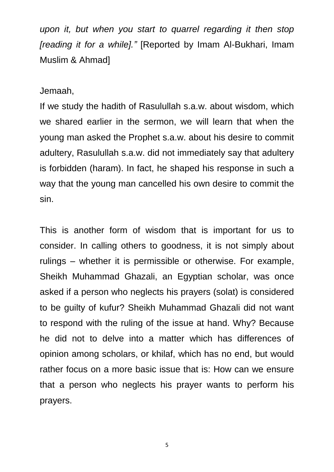*upon it, but when you start to quarrel regarding it then stop [reading it for a while]."* [Reported by Imam Al-Bukhari, Imam Muslim & Ahmad]

Jemaah,

If we study the hadith of Rasulullah s.a.w. about wisdom, which we shared earlier in the sermon, we will learn that when the young man asked the Prophet s.a.w. about his desire to commit adultery, Rasulullah s.a.w. did not immediately say that adultery is forbidden (haram). In fact, he shaped his response in such a way that the young man cancelled his own desire to commit the sin.

This is another form of wisdom that is important for us to consider. In calling others to goodness, it is not simply about rulings – whether it is permissible or otherwise. For example, Sheikh Muhammad Ghazali, an Egyptian scholar, was once asked if a person who neglects his prayers (solat) is considered to be guilty of kufur? Sheikh Muhammad Ghazali did not want to respond with the ruling of the issue at hand. Why? Because he did not to delve into a matter which has differences of opinion among scholars, or khilaf, which has no end, but would rather focus on a more basic issue that is: How can we ensure that a person who neglects his prayer wants to perform his prayers.

5